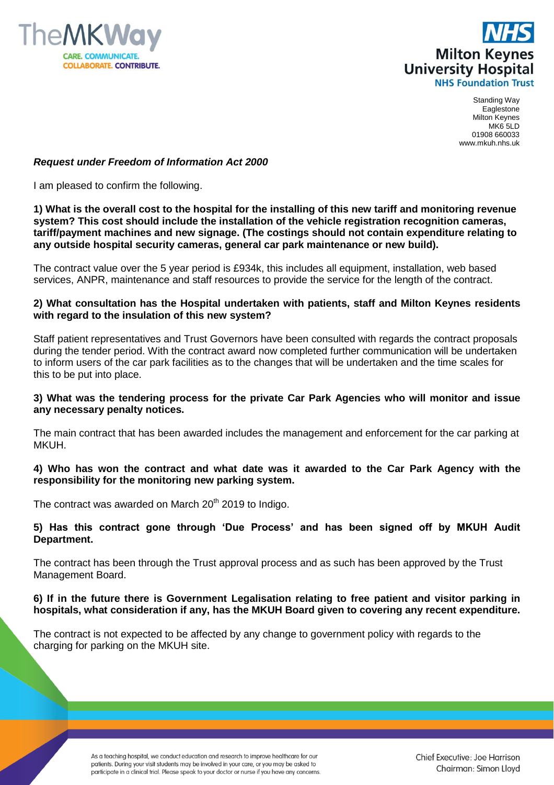



Standing Way Eaglestone Milton Keynes MK6 5LD 01908 660033 www.mkuh.nhs.uk

## *Request under Freedom of Information Act 2000*

I am pleased to confirm the following.

## **1) What is the overall cost to the hospital for the installing of this new tariff and monitoring revenue system? This cost should include the installation of the vehicle registration recognition cameras, tariff/payment machines and new signage. (The costings should not contain expenditure relating to any outside hospital security cameras, general car park maintenance or new build).**

The contract value over the 5 year period is £934k, this includes all equipment, installation, web based services, ANPR, maintenance and staff resources to provide the service for the length of the contract.

# **2) What consultation has the Hospital undertaken with patients, staff and Milton Keynes residents with regard to the insulation of this new system?**

Staff patient representatives and Trust Governors have been consulted with regards the contract proposals during the tender period. With the contract award now completed further communication will be undertaken to inform users of the car park facilities as to the changes that will be undertaken and the time scales for this to be put into place.

## **3) What was the tendering process for the private Car Park Agencies who will monitor and issue any necessary penalty notices.**

The main contract that has been awarded includes the management and enforcement for the car parking at MKUH.

## **4) Who has won the contract and what date was it awarded to the Car Park Agency with the responsibility for the monitoring new parking system.**

The contract was awarded on March  $20<sup>th</sup>$  2019 to Indigo.

## **5) Has this contract gone through 'Due Process' and has been signed off by MKUH Audit Department.**

The contract has been through the Trust approval process and as such has been approved by the Trust Management Board.

## **6) If in the future there is Government Legalisation relating to free patient and visitor parking in hospitals, what consideration if any, has the MKUH Board given to covering any recent expenditure.**

The contract is not expected to be affected by any change to government policy with regards to the charging for parking on the MKUH site.

> As a teaching hospital, we conduct education and research to improve healthcare for our patients. During your visit students may be involved in your care, or you may be asked to participate in a clinical trial. Please speak to your doctor or nurse if you have any concerns.

Chief Executive: Joe Harrison Chairman: Simon Lloyd